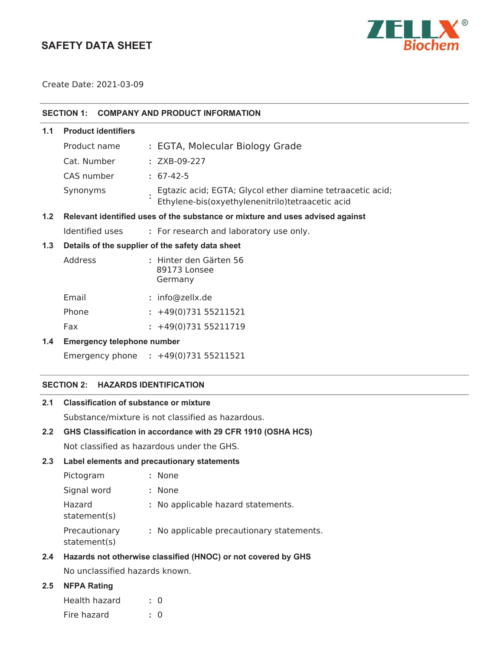# **SAFETY DATA SHEET**



Create Date: 2021-03-09

|     | <b>SECTION 1:</b>                                                             | <b>COMPANY AND PRODUCT INFORMATION</b>                                                                         |  |  |  |
|-----|-------------------------------------------------------------------------------|----------------------------------------------------------------------------------------------------------------|--|--|--|
| 1.1 | <b>Product identifiers</b>                                                    |                                                                                                                |  |  |  |
|     | Product name                                                                  | : EGTA, Molecular Biology Grade                                                                                |  |  |  |
|     | Cat. Number                                                                   | : ZXB-09-227                                                                                                   |  |  |  |
|     | CAS number                                                                    | $: 67-42-5$                                                                                                    |  |  |  |
|     | Synonyms                                                                      | Egtazic acid; EGTA; Glycol ether diamine tetraacetic acid;<br>Ethylene-bis(oxyethylenenitrilo)tetraacetic acid |  |  |  |
| 1.2 | Relevant identified uses of the substance or mixture and uses advised against |                                                                                                                |  |  |  |
|     | Identified uses                                                               | : For research and laboratory use only.                                                                        |  |  |  |
| 1.3 | Details of the supplier of the safety data sheet                              |                                                                                                                |  |  |  |
|     | Address                                                                       | : Hinter den Gärten 56<br>89173 Lonsee<br>Germany                                                              |  |  |  |
|     | Email                                                                         | : info@zellx.de                                                                                                |  |  |  |
|     | Phone                                                                         | $: +49(0)73155211521$                                                                                          |  |  |  |
|     | Fax                                                                           | $: +49(0)73155211719$                                                                                          |  |  |  |
| 1.4 | <b>Emergency telephone number</b>                                             |                                                                                                                |  |  |  |

Emergency phone **:** 

# **SECTION 2: HAZARDS IDENTIFICATION**

# **2.1 Classification of substance or mixture**

Substance/mixture is not classified as hazardous.

# **2.2 GHS Classification in accordance with 29 CFR 1910 (OSHA HCS)**

Not classified as hazardous under the GHS.

# **2.3 Label elements and precautionary statements**

| Pictogram                     | : None                                    |
|-------------------------------|-------------------------------------------|
| Signal word                   | : None                                    |
| Hazard<br>statement(s)        | : No applicable hazard statements.        |
| Precautionary<br>statement(s) | : No applicable precautionary statements. |

# **2.4 Hazards not otherwise classified (HNOC) or not covered by GHS**

No unclassified hazards known.

# **2.5 NFPA Rating**

| Health hazard | $\therefore$ 0 |
|---------------|----------------|
| Fire hazard   | $\cdot$ 0      |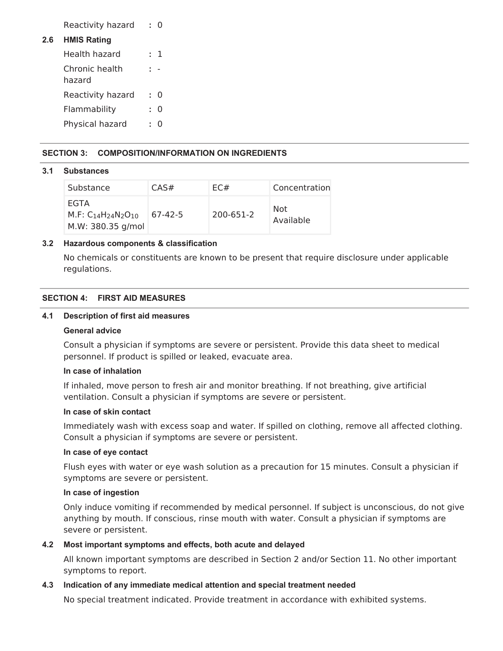Reactivity hazard **:** 0

# **2.6 HMIS Rating**

| Health hazard            |    | $\cdot$ 1 |
|--------------------------|----|-----------|
| Chronic health<br>hazard |    |           |
| Reactivity hazard        | к. | 0         |
| Flammability             |    | 0         |
| Physical hazard          |    | 0         |

# **SECTION 3: COMPOSITION/INFORMATION ON INGREDIENTS**

#### **3.1 Substances**

| Substance                                              | CAS#    | EC#       | Concentration    |
|--------------------------------------------------------|---------|-----------|------------------|
| <b>EGTA</b><br>$M.F: C14H24N2O10$<br>M.W: 380.35 g/mol | 67-42-5 | 200-651-2 | Not<br>Available |

# **3.2 Hazardous components & classification**

No chemicals or constituents are known to be present that require disclosure under applicable regulations.

# **SECTION 4: FIRST AID MEASURES**

#### **4.1 Description of first aid measures**

#### **General advice**

Consult a physician if symptoms are severe or persistent. Provide this data sheet to medical personnel. If product is spilled or leaked, evacuate area.

#### **In case of inhalation**

If inhaled, move person to fresh air and monitor breathing. If not breathing, give artificial ventilation. Consult a physician if symptoms are severe or persistent.

# **In case of skin contact**

Immediately wash with excess soap and water. If spilled on clothing, remove all affected clothing. Consult a physician if symptoms are severe or persistent.

#### **In case of eye contact**

Flush eyes with water or eye wash solution as a precaution for 15 minutes. Consult a physician if symptoms are severe or persistent.

# **In case of ingestion**

Only induce vomiting if recommended by medical personnel. If subject is unconscious, do not give anything by mouth. If conscious, rinse mouth with water. Consult a physician if symptoms are severe or persistent.

#### **4.2 Most important symptoms and effects, both acute and delayed**

All known important symptoms are described in Section 2 and/or Section 11. No other important symptoms to report.

#### **4.3 Indication of any immediate medical attention and special treatment needed**

No special treatment indicated. Provide treatment in accordance with exhibited systems.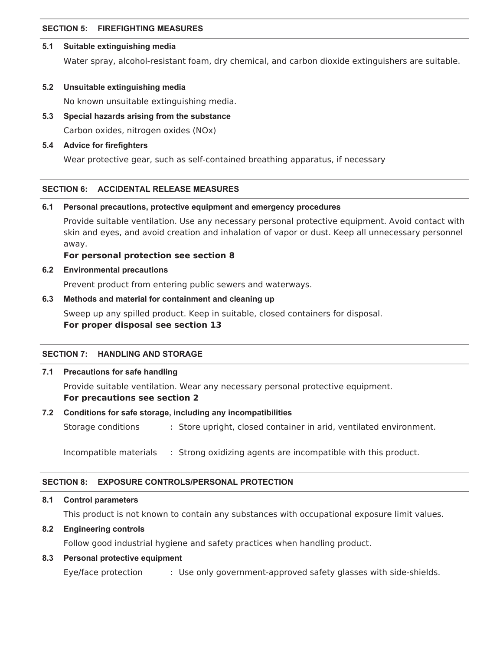# **SECTION 5: FIREFIGHTING MEASURES**

#### **5.1 Suitable extinguishing media**

Water spray, alcohol-resistant foam, dry chemical, and carbon dioxide extinguishers are suitable.

#### **5.2 Unsuitable extinguishing media**

No known unsuitable extinguishing media.

# **5.3 Special hazards arising from the substance**

Carbon oxides, nitrogen oxides (NOx)

#### **5.4 Advice for firefighters**

Wear protective gear, such as self-contained breathing apparatus, if necessary

#### **SECTION 6: ACCIDENTAL RELEASE MEASURES**

#### **6.1 Personal precautions, protective equipment and emergency procedures**

Provide suitable ventilation. Use any necessary personal protective equipment. Avoid contact with skin and eyes, and avoid creation and inhalation of vapor or dust. Keep all unnecessary personnel away.

#### **For personal protection see section 8**

#### **6.2 Environmental precautions**

Prevent product from entering public sewers and waterways.

# **6.3 Methods and material for containment and cleaning up**

Sweep up any spilled product. Keep in suitable, closed containers for disposal. **For proper disposal see section 13**

#### **SECTION 7: HANDLING AND STORAGE**

# **7.1 Precautions for safe handling**

Provide suitable ventilation. Wear any necessary personal protective equipment. **For precautions see section 2**

#### **7.2 Conditions for safe storage, including any incompatibilities**

Storage conditions **:** Store upright, closed container in arid, ventilated environment.

Incompatible materials **:** Strong oxidizing agents are incompatible with this product.

#### **SECTION 8: EXPOSURE CONTROLS/PERSONAL PROTECTION**

#### **8.1 Control parameters**

This product is not known to contain any substances with occupational exposure limit values.

#### **8.2 Engineering controls**

Follow good industrial hygiene and safety practices when handling product.

# **8.3 Personal protective equipment**

Eye/face protection **:** Use only government-approved safety glasses with side-shields.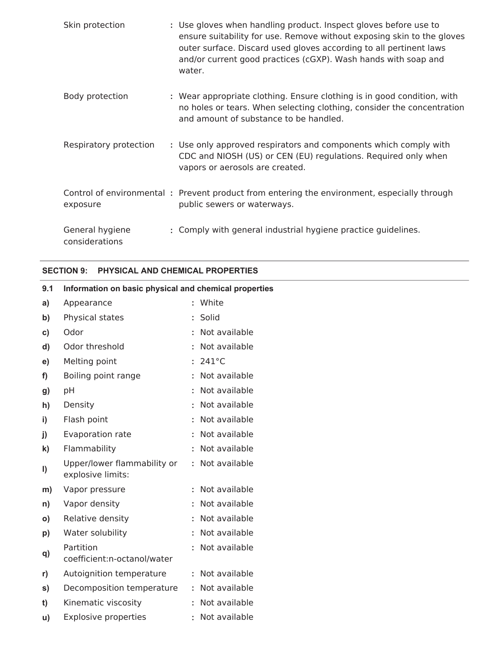| Skin protection                   | : Use gloves when handling product. Inspect gloves before use to<br>ensure suitability for use. Remove without exposing skin to the gloves<br>outer surface. Discard used gloves according to all pertinent laws<br>and/or current good practices (cGXP). Wash hands with soap and<br>water. |
|-----------------------------------|----------------------------------------------------------------------------------------------------------------------------------------------------------------------------------------------------------------------------------------------------------------------------------------------|
| Body protection                   | : Wear appropriate clothing. Ensure clothing is in good condition, with<br>no holes or tears. When selecting clothing, consider the concentration<br>and amount of substance to be handled.                                                                                                  |
| Respiratory protection            | : Use only approved respirators and components which comply with<br>CDC and NIOSH (US) or CEN (EU) regulations. Required only when<br>vapors or aerosols are created.                                                                                                                        |
| exposure                          | Control of environmental: Prevent product from entering the environment, especially through<br>public sewers or waterways.                                                                                                                                                                   |
| General hygiene<br>considerations | : Comply with general industrial hygiene practice guidelines.                                                                                                                                                                                                                                |

# **SECTION 9: PHYSICAL AND CHEMICAL PROPERTIES**

**u)** Explosive properties **:** Not available

| 9.1          | Information on basic physical and chemical properties |  |                   |  |  |  |
|--------------|-------------------------------------------------------|--|-------------------|--|--|--|
| a)           | Appearance                                            |  | : White           |  |  |  |
| b)           | Physical states                                       |  | : Solid           |  |  |  |
| C)           | Odor                                                  |  | : Not available   |  |  |  |
| d)           | Odor threshold                                        |  | : Not available   |  |  |  |
| e)           | Melting point                                         |  | $: 241^{\circ}$ C |  |  |  |
| f)           | Boiling point range                                   |  | : Not available   |  |  |  |
| g)           | pH                                                    |  | : Not available   |  |  |  |
| h)           | Density                                               |  | : Not available   |  |  |  |
| $\mathbf{i}$ | Flash point                                           |  | : Not available   |  |  |  |
| j)           | Evaporation rate                                      |  | : Not available   |  |  |  |
| k)           | Flammability                                          |  | : Not available   |  |  |  |
| $\vert$      | Upper/lower flammability or<br>explosive limits:      |  | : Not available   |  |  |  |
| m)           | Vapor pressure                                        |  | : Not available   |  |  |  |
| n)           | Vapor density                                         |  | : Not available   |  |  |  |
| $\mathsf{o}$ | Relative density                                      |  | : Not available   |  |  |  |
| p)           | Water solubility                                      |  | : Not available   |  |  |  |
| q)           | Partition<br>coefficient:n-octanol/water              |  | : Not available   |  |  |  |
| r)           | Autoignition temperature                              |  | : Not available   |  |  |  |
| s)           | Decomposition temperature                             |  | : Not available   |  |  |  |
| t)           | Kinematic viscosity                                   |  | : Not available   |  |  |  |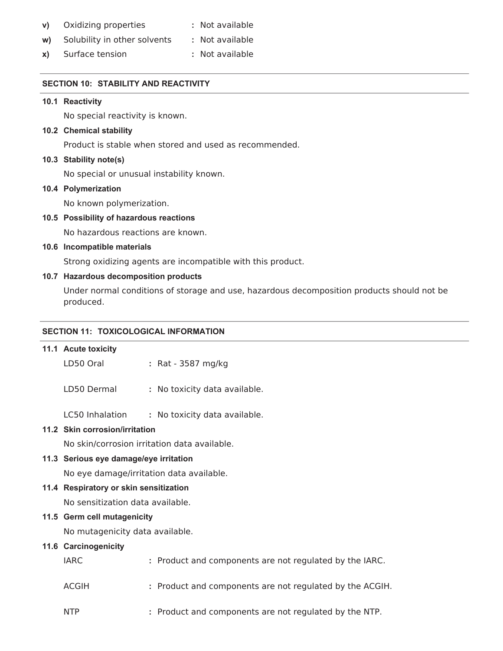| V) | Oxidizing properties | : Not available |
|----|----------------------|-----------------|
|----|----------------------|-----------------|

- **w)** Solubility in other solvents **:** Not available
- **x)** Surface tension **:** Not available

# **SECTION 10: STABILITY AND REACTIVITY**

#### **10.1 Reactivity**

No special reactivity is known.

# **10.2 Chemical stability**

Product is stable when stored and used as recommended.

# **10.3 Stability note(s)**

No special or unusual instability known.

# **10.4 Polymerization**

No known polymerization.

# **10.5 Possibility of hazardous reactions**

No hazardous reactions are known.

# **10.6 Incompatible materials**

Strong oxidizing agents are incompatible with this product.

# **10.7 Hazardous decomposition products**

Under normal conditions of storage and use, hazardous decomposition products should not be produced.

# **SECTION 11: TOXICOLOGICAL INFORMATION**

#### **11.1 Acute toxicity**

LD50 Oral **:** Rat - 3587 mg/kg

LD50 Dermal **:** No toxicity data available.

LC50 Inhalation **:** No toxicity data available.

# **11.2 Skin corrosion/irritation**

No skin/corrosion irritation data available.

# **11.3 Serious eye damage/eye irritation**

No eye damage/irritation data available.

#### **11.4 Respiratory or skin sensitization**

No sensitization data available.

# **11.5 Germ cell mutagenicity**

No mutagenicity data available.

#### **11.6 Carcinogenicity**

| IARC. | : Product and components are not regulated by the IARC.  |
|-------|----------------------------------------------------------|
| ACGIH | : Product and components are not regulated by the ACGIH. |
| NTP   | : Product and components are not regulated by the NTP.   |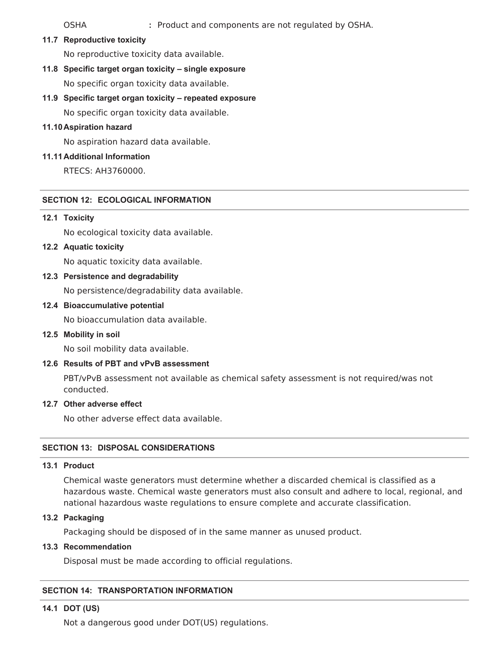OSHA **:** Product and components are not regulated by OSHA.

**11.7 Reproductive toxicity**

No reproductive toxicity data available.

**11.8 Specific target organ toxicity – single exposure**

No specific organ toxicity data available.

**11.9 Specific target organ toxicity – repeated exposure**

No specific organ toxicity data available.

# **11.10Aspiration hazard**

No aspiration hazard data available.

# **11.11Additional Information**

RTECS: AH3760000.

# **SECTION 12: ECOLOGICAL INFORMATION**

# **12.1 Toxicity**

No ecological toxicity data available.

**12.2 Aquatic toxicity**

No aquatic toxicity data available.

**12.3 Persistence and degradability**

No persistence/degradability data available.

**12.4 Bioaccumulative potential**

No bioaccumulation data available.

**12.5 Mobility in soil**

No soil mobility data available.

**12.6 Results of PBT and vPvB assessment**

PBT/vPvB assessment not available as chemical safety assessment is not required/was not conducted.

#### **12.7 Other adverse effect**

No other adverse effect data available.

# **SECTION 13: DISPOSAL CONSIDERATIONS**

# **13.1 Product**

Chemical waste generators must determine whether a discarded chemical is classified as a hazardous waste. Chemical waste generators must also consult and adhere to local, regional, and national hazardous waste regulations to ensure complete and accurate classification.

#### **13.2 Packaging**

Packaging should be disposed of in the same manner as unused product.

# **13.3 Recommendation**

Disposal must be made according to official regulations.

# **SECTION 14: TRANSPORTATION INFORMATION**

# **14.1 DOT (US)**

Not a dangerous good under DOT(US) regulations.